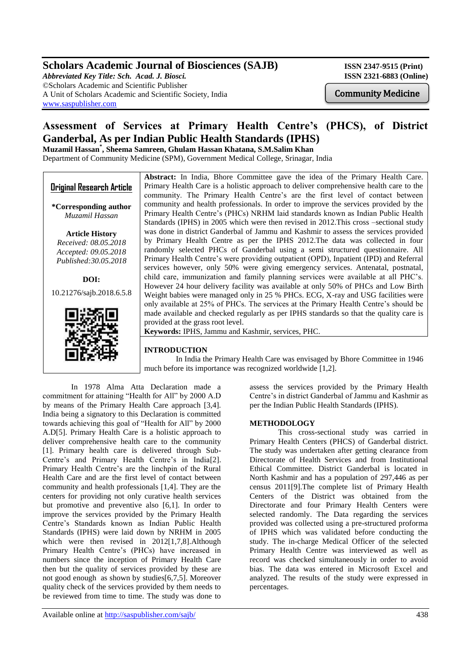## **Scholars Academic Journal of Biosciences (SAJB)** ISSN 2347-9515 (Print)

*Abbreviated Key Title: Sch. Acad. J. Biosci.* **ISSN 2321-6883 (Online)** ©Scholars Academic and Scientific Publisher A Unit of Scholars Academic and Scientific Society, India [www.saspublisher.com](http://www.saspublisher.com/)

Community Medicine

# **Assessment of Services at Primary Health Centre's (PHCS), of District Ganderbal, As per Indian Public Health Standards (IPHS)**

**Muzamil Hassan\* , Sheema Samreen, Ghulam Hassan Khatana, S.M.Salim Khan** Department of Community Medicine (SPM), Government Medical College, Srinagar, India

**Original Research Article \*Corresponding author** *Muzamil Hassan* **Article History** *Received: 08.05.2018 Accepted: 09.05.2018 Published:30.05.2018* **DOI:** 10.21276/sajb.2018.6.5.8 **Abstract:** In India, Bhore Committee gave the idea of the Primary Health Care. Primary Health Care is a holistic approach to deliver comprehensive health care to the community. The Primary Health Centre's are the first level of contact between community and health professionals. In order to improve the services provided by the Primary Health Centre's (PHCs) NRHM laid standards known as Indian Public Health Standards (IPHS) in 2005 which were then revised in 2012.This cross –sectional study was done in district Ganderbal of Jammu and Kashmir to assess the services provided by Primary Health Centre as per the IPHS 2012.The data was collected in four randomly selected PHCs of Ganderbal using a semi structured questionnaire. All Primary Health Centre's were providing outpatient (OPD), Inpatient (IPD) and Referral services however, only 50% were giving emergency services. Antenatal, postnatal, child care, immunization and family planning services were available at all PHC's. However 24 hour delivery facility was available at only 50% of PHCs and Low Birth Weight babies were managed only in 25 % PHCs. ECG, X-ray and USG facilities were only available at 25% of PHCs. The services at the Primary Health Centre's should be made available and checked regularly as per IPHS standards so that the quality care is provided at the grass root level. **Keywords:** IPHS, Jammu and Kashmir, services, PHC.

## **INTRODUCTION**

 In India the Primary Health Care was envisaged by Bhore Committee in 1946 much before its importance was recognized worldwide [1,2].

In 1978 Alma Atta Declaration made a commitment for attaining "Health for All" by 2000 A.D by means of the Primary Health Care approach [3,4]. India being a signatory to this Declaration is committed towards achieving this goal of "Health for All" by 2000 A.D[5]. Primary Health Care is a holistic approach to deliver comprehensive health care to the community [1]. Primary health care is delivered through Sub-Centre's and Primary Health Centre's in India[2]. Primary Health Centre's are the linchpin of the Rural Health Care and are the first level of contact between community and health professionals [1,4]. They are the centers for providing not only curative health services but promotive and preventive also [6,1]. In order to improve the services provided by the Primary Health Centre's Standards known as Indian Public Health Standards (IPHS) were laid down by NRHM in 2005 which were then revised in 2012[1,7,8].Although Primary Health Centre's (PHCs) have increased in numbers since the inception of Primary Health Care then but the quality of services provided by these are not good enough as shown by studies[6,7,5]. Moreover quality check of the services provided by them needs to be reviewed from time to time. The study was done to

Available online at<http://saspublisher.com/sajb/> 438

assess the services provided by the Primary Health Centre's in district Ganderbal of Jammu and Kashmir as per the Indian Public Health Standards (IPHS).

### **METHODOLOGY**

This cross-sectional study was carried in Primary Health Centers (PHCS) of Ganderbal district. The study was undertaken after getting clearance from Directorate of Health Services and from Institutional Ethical Committee. District Ganderbal is located in North Kashmir and has a population of 297,446 as per census 2011[9].The complete list of Primary Health Centers of the District was obtained from the Directorate and four Primary Health Centers were selected randomly. The Data regarding the services provided was collected using a pre-structured proforma of IPHS which was validated before conducting the study. The in-charge Medical Officer of the selected Primary Health Centre was interviewed as well as record was checked simultaneously in order to avoid bias. The data was entered in Microsoft Excel and analyzed. The results of the study were expressed in percentages.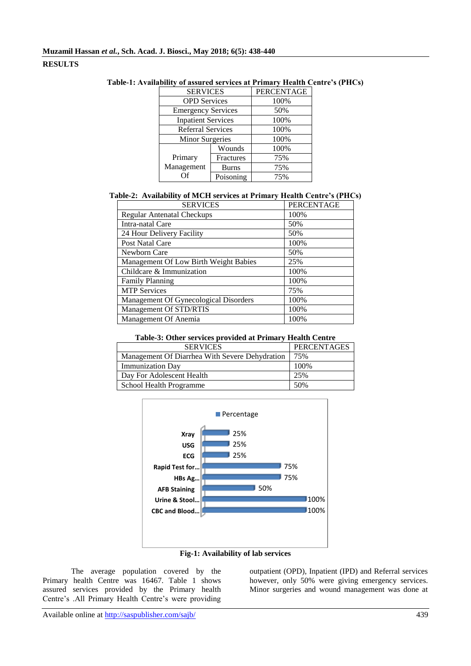## **RESULTS**

| <b>SERVICES</b>           |              | <b>PERCENTAGE</b> |
|---------------------------|--------------|-------------------|
| <b>OPD</b> Services       |              | 100%              |
| <b>Emergency Services</b> |              | 50%               |
| <b>Inpatient Services</b> |              | 100%              |
| <b>Referral Services</b>  |              | 100%              |
| <b>Minor Surgeries</b>    |              | 100%              |
|                           | Wounds       | 100%              |
| Primary                   | Fractures    | 75%               |
| Management                | <b>Burns</b> | 75%               |
| Ωf                        | Poisoning    | 75%               |

#### **Table-1: Availability of assured services at Primary Health Centre's (PHCs)**

## **Table-2: Availability of MCH services at Primary Health Centre's (PHCs)**

| <b>SERVICES</b>                       | <b>PERCENTAGE</b> |
|---------------------------------------|-------------------|
| <b>Regular Antenatal Checkups</b>     | 100%              |
| Intra-natal Care                      | 50%               |
| 24 Hour Delivery Facility             | 50%               |
| Post Natal Care                       | 100%              |
| Newborn Care                          | 50%               |
| Management Of Low Birth Weight Babies | 25%               |
| Childcare & Immunization              | 100%              |
| <b>Family Planning</b>                | 100%              |
| <b>MTP</b> Services                   | 75%               |
| Management Of Gynecological Disorders | 100%              |
| Management Of STD/RTIS                | 100%              |
| Management Of Anemia                  | 100%              |

| Table-3: Other services provided at Primary Health Centre |  |  |
|-----------------------------------------------------------|--|--|
|-----------------------------------------------------------|--|--|

| <b>SERVICES</b>                                | PERCENTAGES |
|------------------------------------------------|-------------|
| Management Of Diarrhea With Severe Dehydration | 75%         |
| <b>Immunization Day</b>                        | 100%        |
| Day For Adolescent Health                      | 25%         |
| School Health Programme                        | 50%         |





The average population covered by the Primary health Centre was 16467. Table 1 shows assured services provided by the Primary health Centre's .All Primary Health Centre's were providing

outpatient (OPD), Inpatient (IPD) and Referral services however, only 50% were giving emergency services. Minor surgeries and wound management was done at